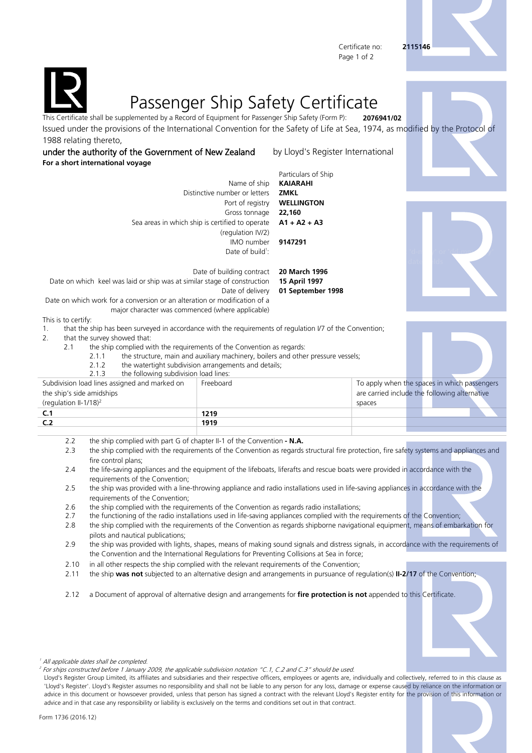Certificate no: **2115146** Page 1 of 2





## Passenger Ship Safety Certificate

ficate shall be supplemented by a Record of Equipment for Passenger Ship Safety (Form P): **2076941/02** Issued under the provisions of the International Convention for the Safety of Life at Sea, 1974, as modified by the Protocol of 1988 relating thereto,

under the authority of the Government of New Zealand by Lloyd's Register International **For a short international voyage**

Particulars of Ship Name of ship **KAIARAHI** Distinctive number or letters **ZMKL** Port of registry **WELLINGTON** Gross tonnage **22,160** Sea areas in which ship is certified to operate **A1 + A2 + A3** (regulation IV/2) IMO number **9147291** Date of build $1$ :  $\mathbf{r}^*$  d-m  $\mathbf{r}^*$  or  $\mathbf{r}^*$  dd-mm-y $\mathbf{r}^*$ date  $d$ date

Date of building contract **20 March 1996** Date on which keel was laid or ship was at similar stage of construction **15 April 1997** Date of delivery **01 September 1998** Date on which work for a conversion or an alteration or modification of a

major character was commenced (where applicable)

This is to certify:

1. that the ship has been surveyed in accordance with the requirements of regulation I/7 of the Convention;

2. that the survey showed that:

2.1 the ship complied with the requirements of the Convention as regards:

2.1.1 the structure, main and auxiliary machinery, boilers and other pressure vessels;

2.1.2 the watertight subdivision arrangements and details; 2.1.2 the following subdivision load line

| the Tollowing Subdivision todd lines.         |           |                                               |  |  |
|-----------------------------------------------|-----------|-----------------------------------------------|--|--|
| Subdivision load lines assigned and marked on | Freeboard | To apply when the spaces in which passengers  |  |  |
| the ship's side amidships                     |           | are carried include the following alternative |  |  |
| (regulation II-1/18) <sup>2</sup>             |           | spaces                                        |  |  |
|                                               | 1219      |                                               |  |  |
| C <sub>2</sub>                                | 1919      |                                               |  |  |
|                                               |           |                                               |  |  |

- 2.2 the ship complied with part G of chapter II-1 of the Convention  **N.A.**
- 2.3 the ship complied with the requirements of the Convention as regards structural fire protection, fire safety systems and appliances and fire control plans;
- 2.4 the life-saving appliances and the equipment of the lifeboats, liferafts and rescue boats were provided in accordance with the requirements of the Convention;
- 2.5 the ship was provided with a line-throwing appliance and radio installations used in life-saving appliances in accordance with the requirements of the Convention;
- 2.6 the ship complied with the requirements of the Convention as regards radio installations;<br>2.7 the functioning of the radio installations used in life-saving appliances complied with the
- 2.7 the functioning of the radio installations used in life-saving appliances complied with the requirements of the Convention;
- 2.8 the ship complied with the requirements of the Convention as regards shipborne navigational equipment, means of embarkation for pilots and nautical publications;
- 2.9 the ship was provided with lights, shapes, means of making sound signals and distress signals, in accordance with the requirements of the Convention and the International Regulations for Preventing Collisions at Sea in force;
- 2.10 in all other respects the ship complied with the relevant requirements of the Convention;
- 2.11 the ship **was not** subjected to an alternative design and arrangements in pursuance of regulation(s) **II-2/17** of the Convention;

2.12 a Document of approval of alternative design and arrangements for **fire protection is not** appended to this Certificate.





<sup>1</sup> All applicable dates shall be completed.

<sup>2</sup> For ships constructed before 1 January 2009, the applicable subdivision notation "C.1, C.2 and C.3" should be used.

Lloyd's Register Group Limited, its affiliates and subsidiaries and their respective officers, employees or agents are, individually and collectively, referred to in this clause as 'Lloyd's Register'. Lloyd's Register assumes no responsibility and shall not be liable to any person for any loss, damage or expense caused by reliance on the information or advice in this document or howsoever provided, unless that person has signed a contract with the relevant Lloyd's Register entity for the provision of this information or advice and in that case any responsibility or liability is exclusively on the terms and conditions set out in that contract.